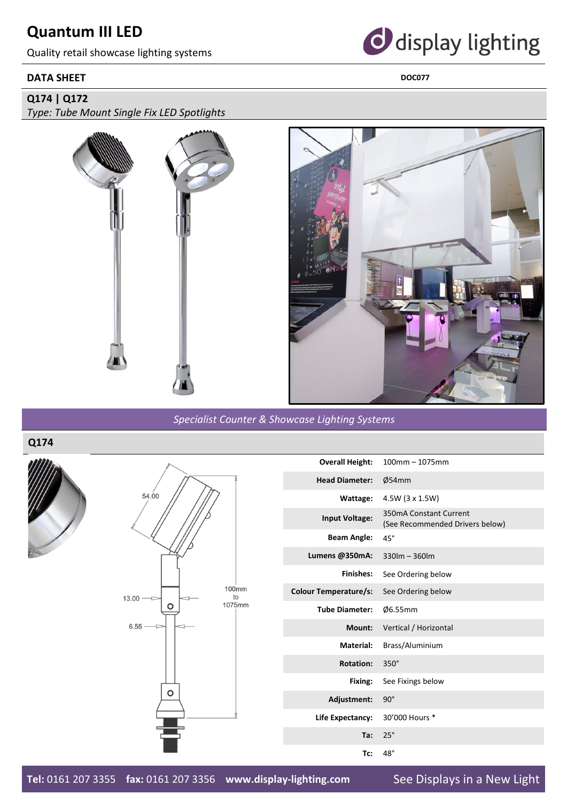# **Quantum III LED**

Quality retail showcase lighting systems

### **DATA SHEET** DOC077



### **Q174 | Q172**

*Type: Tube Mount Single Fix LED Spotlights*



*Specialist Counter & Showcase Lighting Systems*

**Q174**





| <b>Overall Height:</b>       | $100$ mm $- 1075$ mm                                      |
|------------------------------|-----------------------------------------------------------|
| <b>Head Diameter:</b>        | Ø54mm                                                     |
| Wattage:                     | 4.5W (3 x 1.5W)                                           |
| <b>Input Voltage:</b>        | 350mA Constant Current<br>(See Recommended Drivers below) |
| <b>Beam Angle:</b>           | $45^\circ$                                                |
| Lumens @350mA:               | $330$ lm - $360$ lm                                       |
| Finishes:                    | See Ordering below                                        |
| <b>Colour Temperature/s:</b> | See Ordering below                                        |
| <b>Tube Diameter:</b>        | Ø6.55mm                                                   |
| Mount:                       | Vertical / Horizontal                                     |
| Material:                    | Brass/Aluminium                                           |
| <b>Rotation:</b>             | $350^\circ$                                               |
| Fixing:                      | See Fixings below                                         |
| Adjustment:                  | $90^\circ$                                                |
| Life Expectancy:             | 30'000 Hours *                                            |
| Ta:                          | $25^\circ$                                                |
| Tc:                          | $48^\circ$                                                |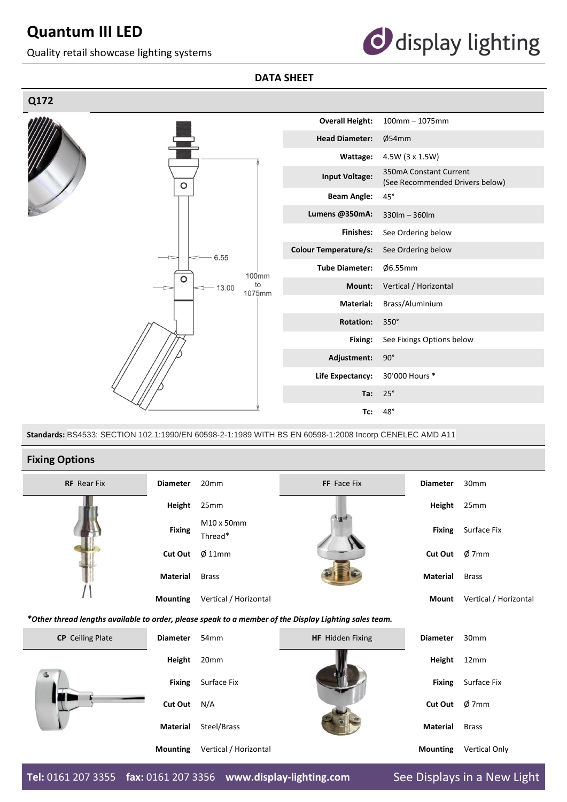# **Quantum III LED**

Quality retail showcase lighting systems



### **DATA SHEET**



**Standards:** BS4533: SECTION 102.1:1990/EN 60598-2-1:1989 WITH BS EN 60598-1:2008 Incorp CENELEC AMD A11

#### **Fixing Options**

| <b>RF</b> Rear Fix                                                                                     | <b>Diameter</b> | 20 <sub>mm</sub>      | FF Face Fix      | <b>Diameter</b> | 30mm                  |  |
|--------------------------------------------------------------------------------------------------------|-----------------|-----------------------|------------------|-----------------|-----------------------|--|
|                                                                                                        | Height          | 25mm                  |                  | <b>Height</b>   | 25mm                  |  |
|                                                                                                        | <b>Fixing</b>   | M10 x 50mm<br>Thread* |                  | <b>Fixing</b>   | Surface Fix           |  |
|                                                                                                        | <b>Cut Out</b>  | $\varnothing$ 11mm    |                  | <b>Cut Out</b>  | $\phi$ 7mm            |  |
|                                                                                                        | Material        | <b>Brass</b>          |                  | <b>Material</b> | <b>Brass</b>          |  |
|                                                                                                        | <b>Mounting</b> | Vertical / Horizontal |                  | <b>Mount</b>    | Vertical / Horizontal |  |
| *Other thread lengths available to order, please speak to a member of the Display Lighting sales team. |                 |                       |                  |                 |                       |  |
| <b>CP</b> Ceiling Plate                                                                                | <b>Diameter</b> | 54 <sub>mm</sub>      | HF Hidden Fixing | <b>Diameter</b> | 30mm                  |  |
|                                                                                                        | Height          | 20mm                  |                  | Height          | 12mm                  |  |
|                                                                                                        | <b>Fixing</b>   | Surface Fix           |                  | <b>Fixing</b>   | Surface Fix           |  |
|                                                                                                        | <b>Cut Out</b>  | N/A                   |                  | <b>Cut Out</b>  | Ø7mm                  |  |
|                                                                                                        | Material        | Steel/Brass           |                  | <b>Material</b> | <b>Brass</b>          |  |
|                                                                                                        | <b>Mounting</b> | Vertical / Horizontal |                  | <b>Mounting</b> | <b>Vertical Only</b>  |  |